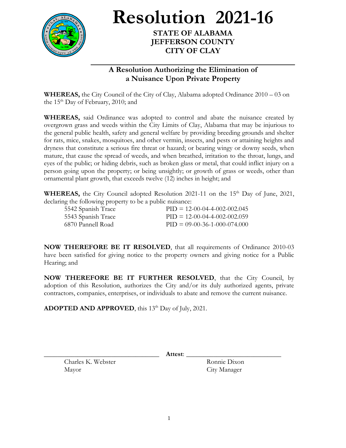

**Resolution 2021-16**

**STATE OF ALABAMA JEFFERSON COUNTY CITY OF CLAY**

## **A Resolution Authorizing the Elimination of a Nuisance Upon Private Property**

**WHEREAS,** the City Council of the City of Clay, Alabama adopted Ordinance 2010 – 03 on the  $15<sup>th</sup>$  Day of February, 2010; and

**WHEREAS,** said Ordinance was adopted to control and abate the nuisance created by overgrown grass and weeds within the City Limits of Clay, Alabama that may be injurious to the general public health, safety and general welfare by providing breeding grounds and shelter for rats, mice, snakes, mosquitoes, and other vermin, insects, and pests or attaining heights and dryness that constitute a serious fire threat or hazard; or bearing wingy or downy seeds, when mature, that cause the spread of weeds, and when breathed, irritation to the throat, lungs, and eyes of the public; or hiding debris, such as broken glass or metal, that could inflict injury on a person going upon the property; or being unsightly; or growth of grass or weeds, other than ornamental plant growth, that exceeds twelve (12) inches in height; and

**WHEREAS,** the City Council adopted Resolution 2021-11 on the  $15<sup>th</sup>$  Day of June, 2021, declaring the following property to be a public nuisance:

| 5542 Spanish Trace | $PID = 12-00-04-4-002-002.045$ |
|--------------------|--------------------------------|
| 5543 Spanish Trace | $PID = 12-00-04-4-002-002.059$ |
| -6870 Pannell Road | $PID = 09-00-36-1-000-074.000$ |

**NOW THEREFORE BE IT RESOLVED**, that all requirements of Ordinance 2010-03 have been satisfied for giving notice to the property owners and giving notice for a Public Hearing; and

**NOW THEREFORE BE IT FURTHER RESOLVED**, that the City Council, by adoption of this Resolution, authorizes the City and/or its duly authorized agents, private contractors, companies, enterprises, or individuals to abate and remove the current nuisance.

ADOPTED AND APPROVED, this 13<sup>th</sup> Day of July, 2021.

Charles K. Webster Ronnie Dixon Mayor City Manager

\_\_\_\_\_\_\_\_\_\_\_\_\_\_\_\_\_\_\_\_\_\_\_\_\_\_\_\_\_\_\_\_\_\_ **Attest**: \_\_\_\_\_\_\_\_\_\_\_\_\_\_\_\_\_\_\_\_\_\_\_\_\_\_\_\_